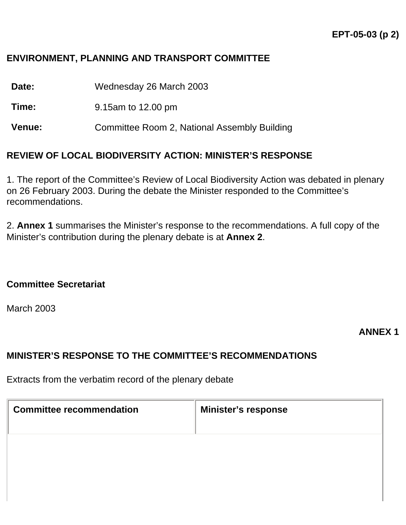## **ENVIRONMENT, PLANNING AND TRANSPORT COMMITTEE**

**Date:** Wednesday 26 March 2003

**Time:** 9.15am to 12.00 pm

**Venue:** Committee Room 2, National Assembly Building

#### **REVIEW OF LOCAL BIODIVERSITY ACTION: MINISTER'S RESPONSE**

1. The report of the Committee's Review of Local Biodiversity Action was debated in plenary on 26 February 2003. During the debate the Minister responded to the Committee's recommendations.

2. **Annex 1** summarises the Minister's response to the recommendations. A full copy of the Minister's contribution during the plenary debate is at **Annex 2**.

#### **Committee Secretariat**

March 2003

#### **ANNEX 1**

### **MINISTER'S RESPONSE TO THE COMMITTEE'S RECOMMENDATIONS**

Extracts from the verbatim record of the plenary debate

| <b>Committee recommendation</b> | <b>Minister's response</b> |
|---------------------------------|----------------------------|
|                                 |                            |
|                                 |                            |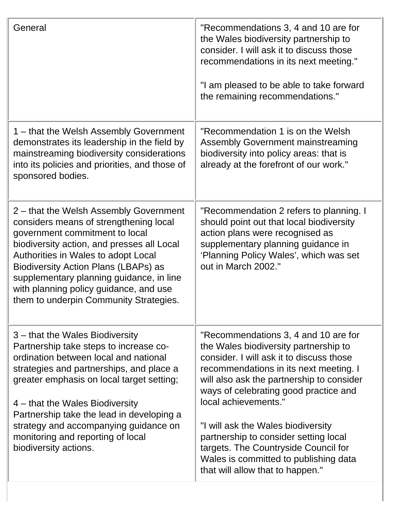| General                                                                                                                                                                                                                                                                                                                                                                         | "Recommendations 3, 4 and 10 are for<br>the Wales biodiversity partnership to<br>consider. I will ask it to discuss those<br>recommendations in its next meeting."<br>"I am pleased to be able to take forward<br>the remaining recommendations."                                 |
|---------------------------------------------------------------------------------------------------------------------------------------------------------------------------------------------------------------------------------------------------------------------------------------------------------------------------------------------------------------------------------|-----------------------------------------------------------------------------------------------------------------------------------------------------------------------------------------------------------------------------------------------------------------------------------|
| 1 – that the Welsh Assembly Government<br>demonstrates its leadership in the field by<br>mainstreaming biodiversity considerations<br>into its policies and priorities, and those of<br>sponsored bodies.                                                                                                                                                                       | "Recommendation 1 is on the Welsh<br><b>Assembly Government mainstreaming</b><br>biodiversity into policy areas: that is<br>already at the forefront of our work."                                                                                                                |
| 2 – that the Welsh Assembly Government<br>considers means of strengthening local<br>government commitment to local<br>biodiversity action, and presses all Local<br>Authorities in Wales to adopt Local<br>Biodiversity Action Plans (LBAPs) as<br>supplementary planning guidance, in line<br>with planning policy guidance, and use<br>them to underpin Community Strategies. | "Recommendation 2 refers to planning. I<br>should point out that local biodiversity<br>action plans were recognised as<br>supplementary planning guidance in<br>'Planning Policy Wales', which was set<br>out in March 2002."                                                     |
| 3 – that the Wales Biodiversity<br>Partnership take steps to increase co-<br>ordination between local and national<br>strategies and partnerships, and place a<br>greater emphasis on local target setting;<br>4 – that the Wales Biodiversity                                                                                                                                  | "Recommendations 3, 4 and 10 are for<br>the Wales biodiversity partnership to<br>consider. I will ask it to discuss those<br>recommendations in its next meeting. I<br>will also ask the partnership to consider<br>ways of celebrating good practice and<br>local achievements." |
| Partnership take the lead in developing a<br>strategy and accompanying guidance on<br>monitoring and reporting of local<br>biodiversity actions.                                                                                                                                                                                                                                | "I will ask the Wales biodiversity<br>partnership to consider setting local<br>targets. The Countryside Council for<br>Wales is committed to publishing data<br>that will allow that to happen."                                                                                  |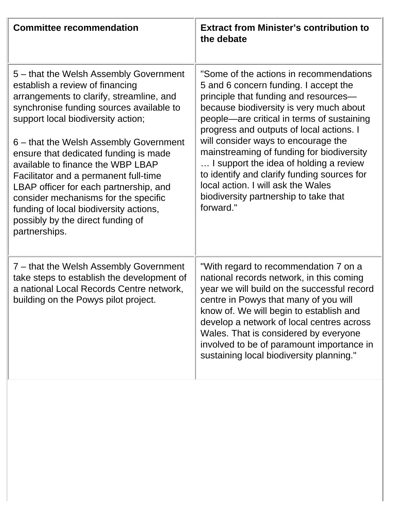| <b>Committee recommendation</b>                                                                                                                                                                                                                                                                                                                                                                                                                                                                                                                            | <b>Extract from Minister's contribution to</b><br>the debate                                                                                                                                                                                                                                                                                                                                                                                                                                                                            |
|------------------------------------------------------------------------------------------------------------------------------------------------------------------------------------------------------------------------------------------------------------------------------------------------------------------------------------------------------------------------------------------------------------------------------------------------------------------------------------------------------------------------------------------------------------|-----------------------------------------------------------------------------------------------------------------------------------------------------------------------------------------------------------------------------------------------------------------------------------------------------------------------------------------------------------------------------------------------------------------------------------------------------------------------------------------------------------------------------------------|
| 5 - that the Welsh Assembly Government<br>establish a review of financing<br>arrangements to clarify, streamline, and<br>synchronise funding sources available to<br>support local biodiversity action;<br>6 – that the Welsh Assembly Government<br>ensure that dedicated funding is made<br>available to finance the WBP LBAP<br>Facilitator and a permanent full-time<br>LBAP officer for each partnership, and<br>consider mechanisms for the specific<br>funding of local biodiversity actions,<br>possibly by the direct funding of<br>partnerships. | "Some of the actions in recommendations<br>5 and 6 concern funding. I accept the<br>principle that funding and resources-<br>because biodiversity is very much about<br>people—are critical in terms of sustaining<br>progress and outputs of local actions. I<br>will consider ways to encourage the<br>mainstreaming of funding for biodiversity<br>I support the idea of holding a review<br>to identify and clarify funding sources for<br>local action. I will ask the Wales<br>biodiversity partnership to take that<br>forward." |
| 7 – that the Welsh Assembly Government<br>take steps to establish the development of<br>a national Local Records Centre network,<br>building on the Powys pilot project.                                                                                                                                                                                                                                                                                                                                                                                   | "With regard to recommendation 7 on a<br>national records network, in this coming<br>year we will build on the successful record<br>centre in Powys that many of you will<br>know of. We will begin to establish and<br>develop a network of local centres across<br>Wales. That is considered by everyone<br>involved to be of paramount importance in<br>sustaining local biodiversity planning."                                                                                                                                     |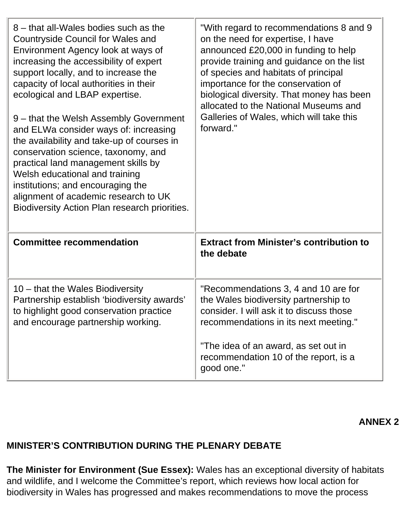| "With regard to recommendations 8 and 9<br>on the need for expertise, I have<br>announced £20,000 in funding to help<br>provide training and guidance on the list<br>of species and habitats of principal<br>importance for the conservation of<br>biological diversity. That money has been<br>allocated to the National Museums and<br>Galleries of Wales, which will take this<br>forward." |
|------------------------------------------------------------------------------------------------------------------------------------------------------------------------------------------------------------------------------------------------------------------------------------------------------------------------------------------------------------------------------------------------|
| <b>Extract from Minister's contribution to</b><br>the debate                                                                                                                                                                                                                                                                                                                                   |
| "Recommendations 3, 4 and 10 are for<br>the Wales biodiversity partnership to<br>consider. I will ask it to discuss those<br>recommendations in its next meeting."<br>"The idea of an award, as set out in<br>recommendation 10 of the report, is a<br>good one."                                                                                                                              |
|                                                                                                                                                                                                                                                                                                                                                                                                |

**ANNEX 2**

# **MINISTER'S CONTRIBUTION DURING THE PLENARY DEBATE**

**The Minister for Environment (Sue Essex):** Wales has an exceptional diversity of habitats and wildlife, and I welcome the Committee's report, which reviews how local action for biodiversity in Wales has progressed and makes recommendations to move the process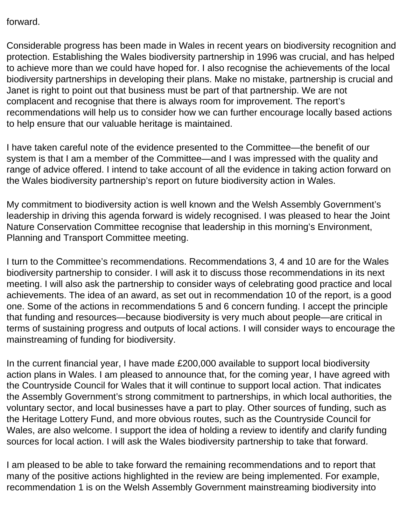forward.

Considerable progress has been made in Wales in recent years on biodiversity recognition and protection. Establishing the Wales biodiversity partnership in 1996 was crucial, and has helped to achieve more than we could have hoped for. I also recognise the achievements of the local biodiversity partnerships in developing their plans. Make no mistake, partnership is crucial and Janet is right to point out that business must be part of that partnership. We are not complacent and recognise that there is always room for improvement. The report's recommendations will help us to consider how we can further encourage locally based actions to help ensure that our valuable heritage is maintained.

I have taken careful note of the evidence presented to the Committee—the benefit of our system is that I am a member of the Committee—and I was impressed with the quality and range of advice offered. I intend to take account of all the evidence in taking action forward on the Wales biodiversity partnership's report on future biodiversity action in Wales.

My commitment to biodiversity action is well known and the Welsh Assembly Government's leadership in driving this agenda forward is widely recognised. I was pleased to hear the Joint Nature Conservation Committee recognise that leadership in this morning's Environment, Planning and Transport Committee meeting.

I turn to the Committee's recommendations. Recommendations 3, 4 and 10 are for the Wales biodiversity partnership to consider. I will ask it to discuss those recommendations in its next meeting. I will also ask the partnership to consider ways of celebrating good practice and local achievements. The idea of an award, as set out in recommendation 10 of the report, is a good one. Some of the actions in recommendations 5 and 6 concern funding. I accept the principle that funding and resources—because biodiversity is very much about people—are critical in terms of sustaining progress and outputs of local actions. I will consider ways to encourage the mainstreaming of funding for biodiversity.

In the current financial year, I have made £200,000 available to support local biodiversity action plans in Wales. I am pleased to announce that, for the coming year, I have agreed with the Countryside Council for Wales that it will continue to support local action. That indicates the Assembly Government's strong commitment to partnerships, in which local authorities, the voluntary sector, and local businesses have a part to play. Other sources of funding, such as the Heritage Lottery Fund, and more obvious routes, such as the Countryside Council for Wales, are also welcome. I support the idea of holding a review to identify and clarify funding sources for local action. I will ask the Wales biodiversity partnership to take that forward.

I am pleased to be able to take forward the remaining recommendations and to report that many of the positive actions highlighted in the review are being implemented. For example, recommendation 1 is on the Welsh Assembly Government mainstreaming biodiversity into